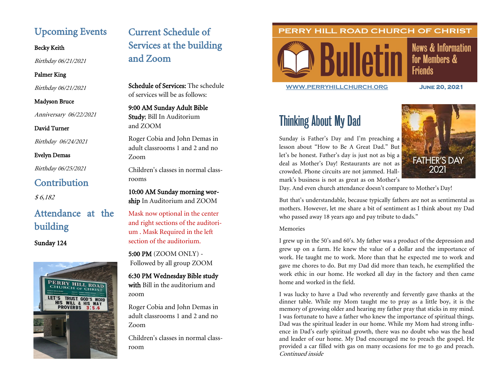# Upcoming Events

Becky Keith

Birthday 06/21/2021

#### Palmer King

Birthday 06/21/2021

#### Madyson Bruce

Anniversary 06/22/2021

# David Turner

Birthday 06/24/2021

# Evelyn Demas

Birthday 06/25/2021

# **Contribution**

\$ 6,182

# Attendance at the building

# Sunday 124



# Current Schedule of Services at the building and Zoom

Schedule of Services: The schedule of services will be as follows:

9:00 AM Sunday Adult Bible Study; Bill In Auditorium and ZOOM

Roger Cobia and John Demas in adult classrooms 1 and 2 and no Zoom

Children's classes in normal classrooms

10:00 AM Sunday morning worship In Auditorium and ZOOM

Mask now optional in the center and right sections of the auditorium . Mask Required in the left section of the auditorium.

5:00 PM (ZOOM ONLY) - Followed by all group ZOOM

6:30 PM Wednesday Bible study with Bill in the auditorium and zoom

Roger Cobia and John Demas in adult classrooms 1 and 2 and no Zoom

Children's classes in normal classroom

# PERRY HILL ROAD CHURCH OF CHRIST



**News & Information** for Members & **Friends** 

**[WWW.PERRYHILLCHURCH.ORG](http://www.perryhillchurch.org) June 20, 2021** 

# Thinking About My Dad

Sunday is Father's Day and I'm preaching a lesson about "How to Be A Great Dad." But let's be honest. Father's day is just not as big a deal as Mother's Day! Restaurants are not as crowded. Phone circuits are not jammed. Hallmark's business is not as great as on Mother's



Day. And even church attendance doesn't compare to Mother's Day!

But that's understandable, because typically fathers are not as sentimental as mothers. However, let me share a bit of sentiment as I think about my Dad who passed away 18 years ago and pay tribute to dads."

#### Memories

I grew up in the 50's and 60's. My father was a product of the depression and grew up on a farm. He knew the value of a dollar and the importance of work. He taught me to work. More than that he expected me to work and gave me chores to do. But my Dad did more than teach, he exemplified the work ethic in our home. He worked all day in the factory and then came home and worked in the field.

I was lucky to have a Dad who reverently and fervently gave thanks at the dinner table. While my Mom taught me to pray as a little boy, it is the memory of growing older and hearing my father pray that sticks in my mind. I was fortunate to have a father who knew the importance of spiritual things. Dad was the spiritual leader in our home. While my Mom had strong influence in Dad's early spiritual growth, there was no doubt who was the head and leader of our home. My Dad encouraged me to preach the gospel. He provided a car filled with gas on many occasions for me to go and preach. Continued inside